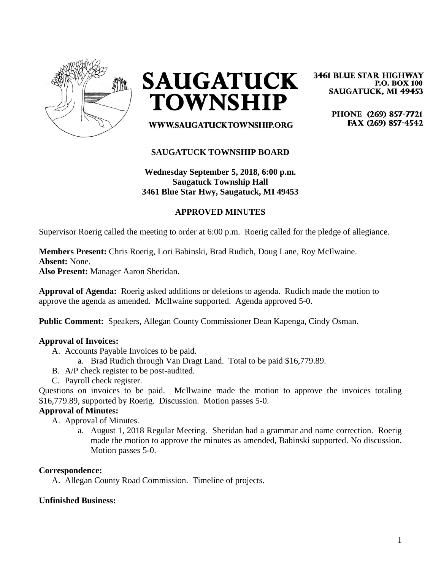

**SAUGATUCK TOWNSHIP** 

**3461 BLUE STAR HIGHWAY P.O. BOX 100 SAUGATUCK, MI 49453** 

> PHONE (269) 857-7721 FAX (269) 857-4542

WWW.SAUGATUCKTOWNSHIP.ORG

## **SAUGATUCK TOWNSHIP BOARD**

# **Wednesday September 5, 2018, 6:00 p.m. Saugatuck Township Hall 3461 Blue Star Hwy, Saugatuck, MI 49453**

### **APPROVED MINUTES**

Supervisor Roerig called the meeting to order at 6:00 p.m. Roerig called for the pledge of allegiance.

**Members Present:** Chris Roerig, Lori Babinski, Brad Rudich, Doug Lane, Roy McIlwaine. **Absent:** None.

**Also Present:** Manager Aaron Sheridan.

**Approval of Agenda:** Roerig asked additions or deletions to agenda. Rudich made the motion to approve the agenda as amended. McIlwaine supported. Agenda approved 5-0.

**Public Comment:** Speakers, Allegan County Commissioner Dean Kapenga, Cindy Osman.

#### **Approval of Invoices:**

- A. Accounts Payable Invoices to be paid.
	- a. Brad Rudich through Van Dragt Land. Total to be paid \$16,779.89.
- B. A/P check register to be post-audited.
- C. Payroll check register.

Questions on invoices to be paid. McIlwaine made the motion to approve the invoices totaling \$16,779.89, supported by Roerig. Discussion. Motion passes 5-0.

#### **Approval of Minutes:**

A. Approval of Minutes.

a. August 1, 2018 Regular Meeting. Sheridan had a grammar and name correction. Roerig made the motion to approve the minutes as amended, Babinski supported. No discussion. Motion passes 5-0.

#### **Correspondence:**

A. Allegan County Road Commission. Timeline of projects.

#### **Unfinished Business:**